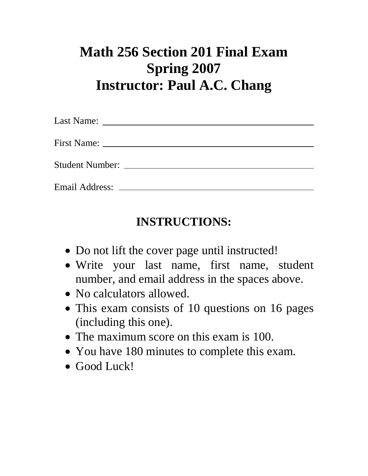## **Math 256 Section 201 Final Exam Spring 2007 Instructor: Paul A.C. Chang**

## **INSTRUCTIONS:**

- Do not lift the cover page until instructed!
- Write your last name, first name, student number, and email address in the spaces above.
- No calculators allowed.
- This exam consists of 10 questions on 16 pages (including this one).
- The maximum score on this exam is 100.
- You have 180 minutes to complete this exam.
- Good Luck!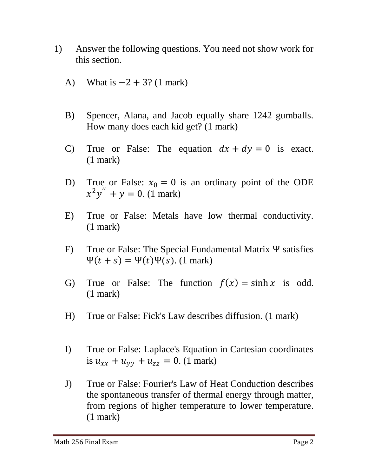- 1) Answer the following questions. You need not show work for this section.
	- A) What is  $-2 + 3$ ? (1 mark)
	- B) Spencer, Alana, and Jacob equally share 1242 gumballs. How many does each kid get? (1 mark)
	- C) True or False: The equation  $dx + dy = 0$  is exact. (1 mark)
	- D) True or False:  $x_0 = 0$  is an ordinary point of the ODE  $x^2y'' + y = 0.$  (1 mark)
	- E) True or False: Metals have low thermal conductivity. (1 mark)
	- F) True or False: The Special Fundamental Matrix Ψ satisfies  $\Psi(t + s) = \Psi(t)\Psi(s)$ . (1 mark)
	- G) True or False: The function  $f(x) = \sinh x$  is odd. (1 mark)
	- H) True or False: Fick's Law describes diffusion. (1 mark)
	- I) True or False: Laplace's Equation in Cartesian coordinates is  $u_{xx} + u_{yy} + u_{zz} = 0$ . (1 mark)
	- J) True or False: Fourier's Law of Heat Conduction describes the spontaneous transfer of thermal energy through matter, from regions of higher temperature to lower temperature. (1 mark)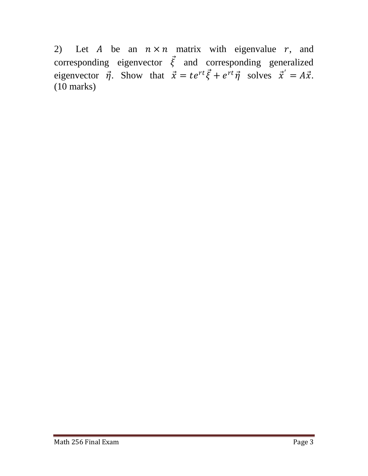2) Let A be an  $n \times n$  matrix with eigenvalue r, and corresponding eigenvector  $\vec{\xi}$  and corresponding generalized eigenvector  $\vec{\eta}$ . Show that  $\vec{x} = te^{rt}\vec{\xi} + e^{rt}\vec{\eta}$  solves  $\vec{x}' = A\vec{x}$ . (10 marks)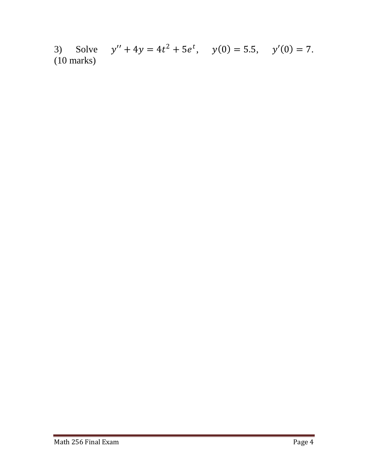3) Solve  $y'' + 4y = 4t^2 + 5e^t$ ,  $y(0) = 5.5$ ,  $y'(0) = 7$ . (10 marks)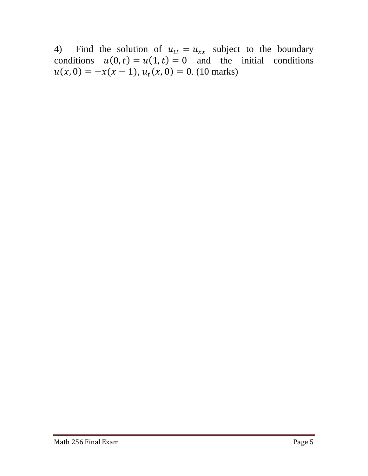4) Find the solution of  $u_{tt} = u_{xx}$  subject to the boundary conditions  $u(0, t) = u(1, t) = 0$  and the initial conditions  $u(x, 0) = -x(x - 1), u_t(x, 0) = 0.$  (10 marks)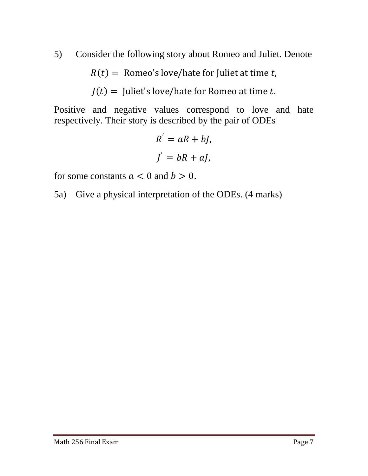5) Consider the following story about Romeo and Juliet. Denote

 $R(t) =$  Romeo's love/hate for Juliet at time t,

$$
J(t)
$$
 = **Juliet's love/hate for Romeo at time** *t*.

Positive and negative values correspond to love and hate respectively. Their story is described by the pair of ODEs

$$
R^{'} = aR + bJ,
$$
  

$$
J^{'} = bR + aJ,
$$

for some constants  $a < 0$  and  $b > 0$ .

5a) Give a physical interpretation of the ODEs. (4 marks)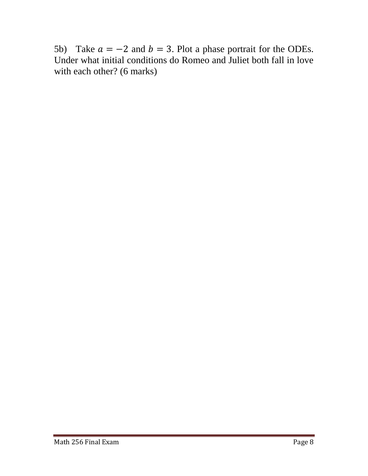5b) Take  $a = -2$  and  $b = 3$ . Plot a phase portrait for the ODEs. Under what initial conditions do Romeo and Juliet both fall in love with each other? (6 marks)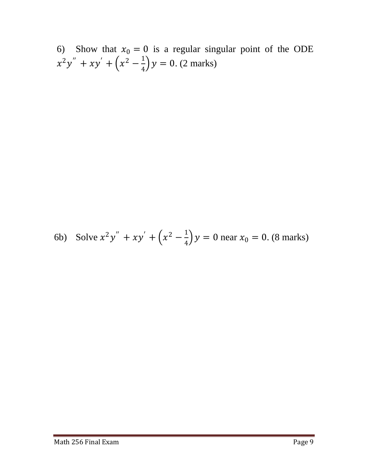6) Show that  $x_0 = 0$  is a regular singular point of the ODE  $x^2y'' + xy' + (x^2 - \frac{1}{4})$  $\frac{1}{4}$ ) y = 0. (2 marks)

6b) Solve 
$$
x^2y'' + xy' + (x^2 - \frac{1}{4})y = 0
$$
 near  $x_0 = 0$ . (8 marks)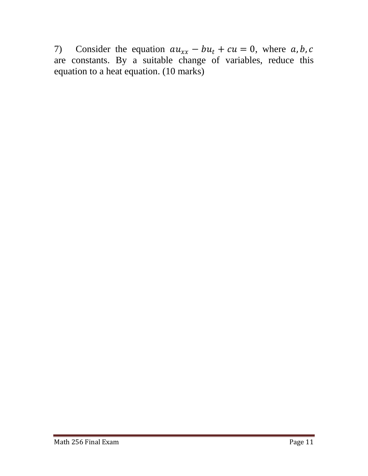7) Consider the equation  $au_{xx} - bu_t + cu = 0$ , where a, b, c are constants. By a suitable change of variables, reduce this equation to a heat equation. (10 marks)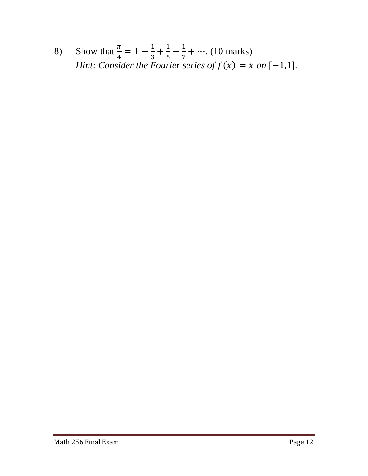8) Show that  $\frac{\pi}{4} = 1 - \frac{1}{3}$  $\frac{1}{3} + \frac{1}{5}$  $\frac{1}{5} - \frac{1}{7}$  $\frac{1}{7} + \cdots$  (10 marks) *Hint: Consider the Fourier series of*  $f(x) = x$  *on*  $[-1,1]$ *.*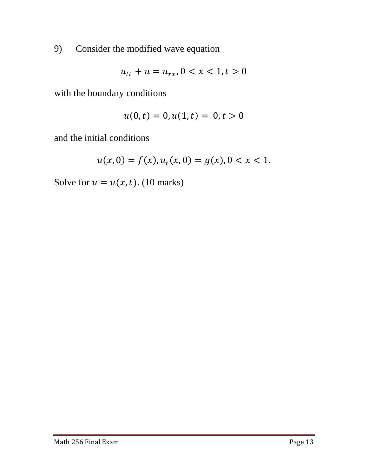9) Consider the modified wave equation

$$
u_{tt} + u = u_{xx}, 0 < x < 1, t > 0
$$

with the boundary conditions

$$
u(0,t) = 0, u(1,t) = 0, t > 0
$$

and the initial conditions

$$
u(x, 0) = f(x), u_t(x, 0) = g(x), 0 < x < 1.
$$

Solve for  $u = u(x, t)$ . (10 marks)